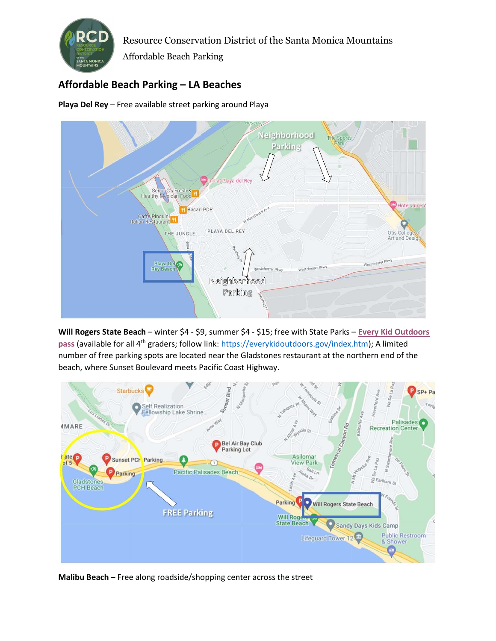

Resource Conservation District of the Santa Monica Mountains

Affordable Beach Parking

## Affordable Beach Parking – LA Beaches

Playa Del Rey – Free available street parking around Playa



Will Rogers State Beach – winter \$4 - \$9, summer \$4 - \$15; free with State Parks – Every Kid Outdoors pass (available for all 4<sup>th</sup> graders; follow link: https://everykidoutdoors.gov/index.htm); A limited number of free parking spots are located near the Gladstones restaurant at the northern end of the beach, where Sunset Boulevard meets Pacific Coast Highway.



Malibu Beach – Free along roadside/shopping center across the street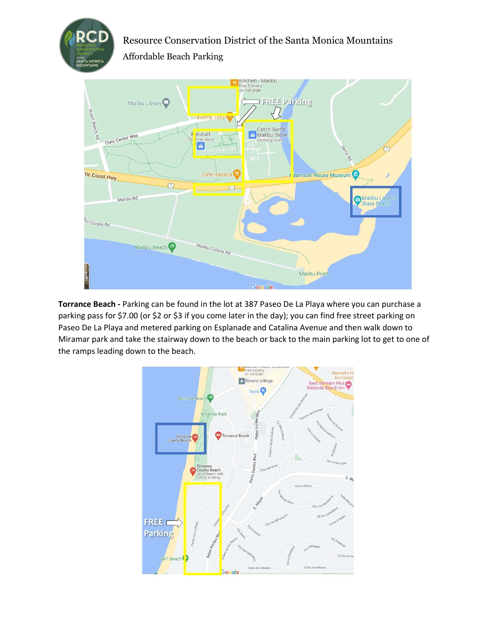

Resource Conservation District of the Santa Monica Mountains Affordable Beach Parking



Torrance Beach - Parking can be found in the lot at 387 Paseo De La Playa where you can purchase a parking pass for \$7.00 (or \$2 or \$3 if you come later in the day); you can find free street parking on Paseo De La Playa and metered parking on Esplanade and Catalina Avenue and then walk down to Miramar park and take the stairway down to the beach or back to the main parking lot to get to one of the ramps leading down to the beach.

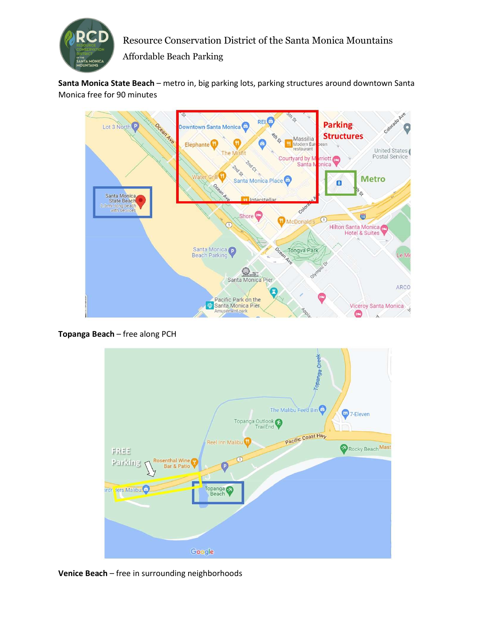

Resource Conservation District of the Santa Monica Mountains

Affordable Beach Parking

Santa Monica State Beach - metro in, big parking lots, parking structures around downtown Santa Monica free for 90 minutes



Topanga Beach – free along PCH



Venice Beach – free in surrounding neighborhoods